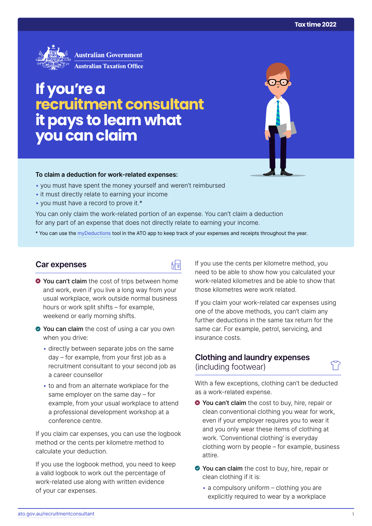

# **If you're a recruitment consultant it pays to learn what you can claim**

#### **To claim a deduction for work‑related expenses:**

- you must have spent the money yourself and weren't reimbursed
- it must directly relate to earning your income
- you must have a record to prove it.\*

You can only claim the work-related portion of an expense. You can't claim a deduction for any part of an expense that does not directly relate to earning your income.

\* You can use the [myDeductions](https://ato.gov.au/mydeductions) tool in the ATO app to keep track of your expenses and receipts throughout the year.

品

#### **Car expenses**

- **O** You can't claim the cost of trips between home and work, even if you live a long way from your usual workplace, work outside normal business hours or work split shifts – for example, weekend or early morning shifts.
- ◆ You can claim the cost of using a car you own when you drive:
	- directly between separate jobs on the same day – for example, from your first job as a recruitment consultant to your second job as a career counsellor
	- to and from an alternate workplace for the same employer on the same day – for example, from your usual workplace to attend a professional development workshop at a conference centre.

If you claim car expenses, you can use the logbook method or the cents per kilometre method to calculate your deduction.

If you use the logbook method, you need to keep a valid logbook to work out the percentage of work-related use along with written evidence of your car expenses.

If you use the cents per kilometre method, you need to be able to show how you calculated your work-related kilometres and be able to show that those kilometres were work related.

If you claim your work-related car expenses using one of the above methods, you can't claim any further deductions in the same tax return for the same car. For example, petrol, servicing, and insurance costs.

## **Clothing and laundry expenses**  (including footwear)

With a few exceptions, clothing can't be deducted as a work-related expense.

- **◆ You can't claim** the cost to buy, hire, repair or clean conventional clothing you wear for work, even if your employer requires you to wear it and you only wear these items of clothing at work. 'Conventional clothing' is everyday clothing worn by people – for example, business attire.
- ◆ You can claim the cost to buy, hire, repair or clean clothing if it is:
	- a compulsory uniform clothing you are explicitly required to wear by a workplace